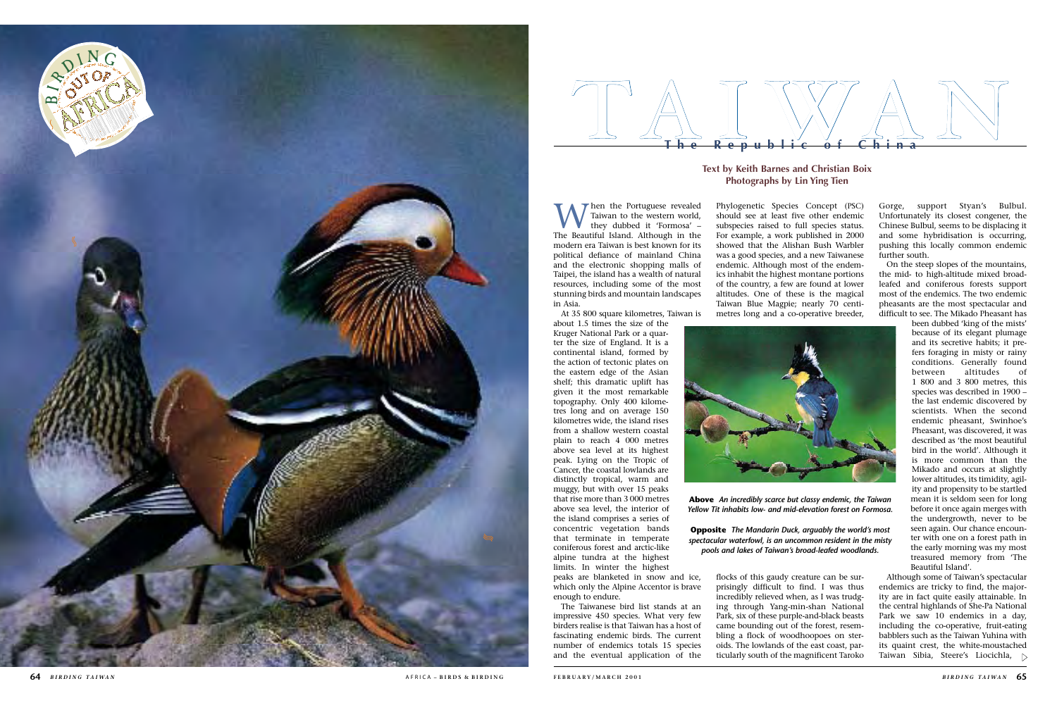When the Portuguese revealed<br>they dubbed it 'Formosa' –<br>The Beautiful Island, Although in the Taiwan to the western world, The Beautiful Island. Although in the modern era Taiwan is best known for its political defiance of mainland China and the electronic shopping malls of Taipei, the island has a wealth of natural resources, including some of the most stunning birds and mountain landscapes in Asia.

At 35 800 square kilometres, Taiwan is

about 1.5 times the size of the Kruger National Park or a quar ter the size of England. It is a continental island, formed by the action of tectonic plates on the eastern edge of the Asian shelf; this dramatic uplift has given it the most remarkable topography. Only 400 kilome tres long and on average 150 kilometres wide, the island rises from a shallow western coastal plain to reach 4 000 metres above sea level at its highest peak. Lying on the Tropic of Cancer, the coastal lowlands are distinctly tropical, warm and muggy, but with over 15 peaks that rise more than 3 000 metres above sea level, the interior of the island comprises a series of concentric vegetation bands that terminate in temperate coniferous forest and arctic-like alpine tundra at the highest limits. In winter the highest peaks are blanketed in snow and ice,

which only the Alpine Accentor is brave enough to endure. The Taiwanese bird list stands at an

impressive 450 species. What very few birders realise is that Taiwan has a host of fascinating endemic birds. The current number of endemics totals 15 species and the eventual application of the Phylogenetic Species Concept (PSC) should see at least five other endemic subspecies raised to full species status. For example, a work published in 2000 showed that the Alishan Bush Warbler was a good species, and a new Taiwanese endemic. Although most of the endem ics inhabit the highest montane portions of the country, a few are found at lower altitudes. One of these is the magical Taiwan Blue Magpie; nearly 70 centimetres long and a co-operative breeder,



The Republic of China **The Republic of China**

flocks of this gaudy creature can be sur prisingly difficult to find. I was thus incredibly relieved when, as I was trudg ing through Yang-min-shan National Park, six of these purple-and-black beasts came bounding out of the forest, resem bling a flock of woodhoopoes on ster oids. The lowlands of the east coast, par ticularly south of the magnificent Taroko



Gorge, support Styan's Bulbul. Unfortunately its closest congener, the Chinese Bulbul, seems to be displacing it and some hybridisation is occurring, pushing this locally common endemic further south.

On the steep slopes of the mountains, the mid- to high-altitude mixed broadleafed and coniferous forests support most of the endemics. The two endemic pheasants are the most spectacular and difficult to see. The Mikado Pheasant has

> been dubbed 'king of the mists' because of its elegant plumage and its secretive habits; it pre fers foraging in misty or rainy conditions. Generally found between altitudes of 1 800 and 3 800 metres, this species was described in 1900 – the last endemic discovered by scientists. When the second endemic pheasant, Swinhoe's Pheasant, was discovered, it was described as 'the most beautiful bird in the world'. Although it is more common than the Mikado and occurs at slightly lower altitudes, its timidity, agil ity and propensity to be startled mean it is seldom seen for long before it once again merges with the undergrowth, never to be seen again. Our chance encoun ter with one on a forest path in the early morning was my most treasured memory from 'The Beautiful Island'.

Although some of Taiwan's spectacular endemics are tricky to find, the major ity are in fact quite easily attainable. In the central highlands of She-Pa National Park we saw 10 endemics in a day, including the co-operative, fruit-eating babblers such as the Taiwan Yuhina with its quaint crest, the white-moustached Taiwan Sibia, Steere's Liocichla,



# **Text by Keith Barnes and Christian Boix Photographs by Lin Ying Tien**

**Above** *An incredibly scarce but classy endemic, the Taiwan Yellow Tit inhabits low- and mid-elevation forest on Formosa.*

**Opposite** *The Mandarin Duck, arguably the world's most spectacular waterfowl, is an uncommon resident in the misty pools and lakes of Taiwan's broad-leafed woodlands.*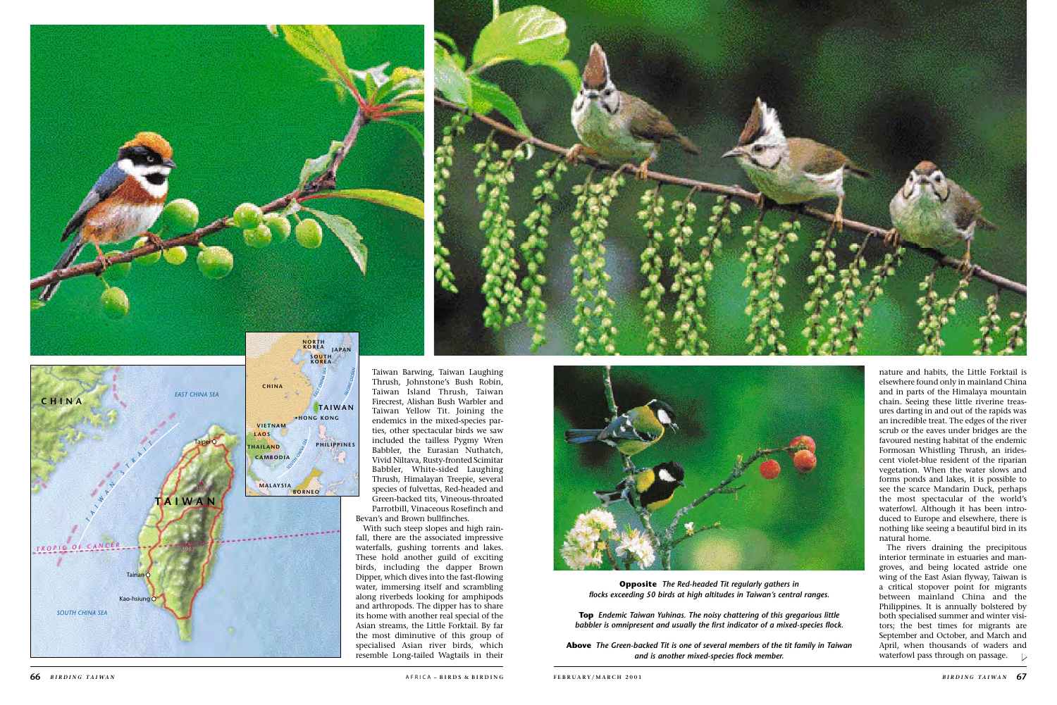nature and habits, the Little Forktail is elsewhere found only in mainland China and in parts of the Himalaya mountain chain. Seeing these little riverine treasures darting in and out of the rapids was an incredible treat. The edges of the river scrub or the eaves under bridges are the favoured nesting habitat of the endemic Formosan Whistling Thrush, an iridescent violet-blue resident of the riparian vegetation. When the water slows and forms ponds and lakes, it is possible to see the scarce Mandarin Duck, perhaps the most spectacular of the world's waterfowl. Although it has been introduced to Europe and elsewhere, there is nothing like seeing a beautiful bird in its natural home.

The rivers draining the precipitous interior terminate in estuaries and mangroves, and being located astride one wing of the East Asian flyway, Taiwan is a critical stopover point for migrants between mainland China and the Philippines. It is annually bolstered by both specialised summer and winter visitors; the best times for migrants are September and October, and March and April, when thousands of waders and waterfowl pass through on passage.  $\Delta$ 

Taiwan Barwing, Taiwan Laughing Thrush, Johnstone's Bush Robin, Taiwan Island Thrush, Taiwan Firecrest, Alishan Bush Warbler and Taiwan Yellow Tit. Joining the endemics in the mixed-species parties, other spectacular birds we saw included the tailless Pygmy Wren Babbler, the Eurasian Nuthatch, Vivid Niltava, Rusty-fronted Scimitar Babbler, White-sided Laughing Thrush, Himalayan Treepie, several species of fulvettas, Red-headed and Green-backed tits, Vineous-throated

Parrotbill, Vinaceous Rosefinch and Bevan's and Brown bullfinches.

With such steep slopes and high rainfall, there are the associated impressive waterfalls, gushing torrents and lakes. These hold another guild of exciting birds, including the dapper Brown Dipper, which dives into the fast-flowing water, immersing itself and scrambling along riverbeds looking for amphipods and arthropods. The dipper has to share its home with another real special of the Asian streams, the Little Forktail. By far the most diminutive of this group of specialised Asian river birds, which resemble Long-tailed Wagtails in their









**Opposite** *The Red-headed Tit regularly gathers in flocks exceeding 50 birds at high altitudes in Taiwan's central ranges.* 

**Top** *Endemic Taiwan Yuhinas. The noisy chattering of this gregarious little babbler is omnipresent and usually the first indicator of a mixed-species flock.*

**Above** *The Green-backed Tit is one of several members of the tit family in Taiwan and is another mixed-species flock member.*